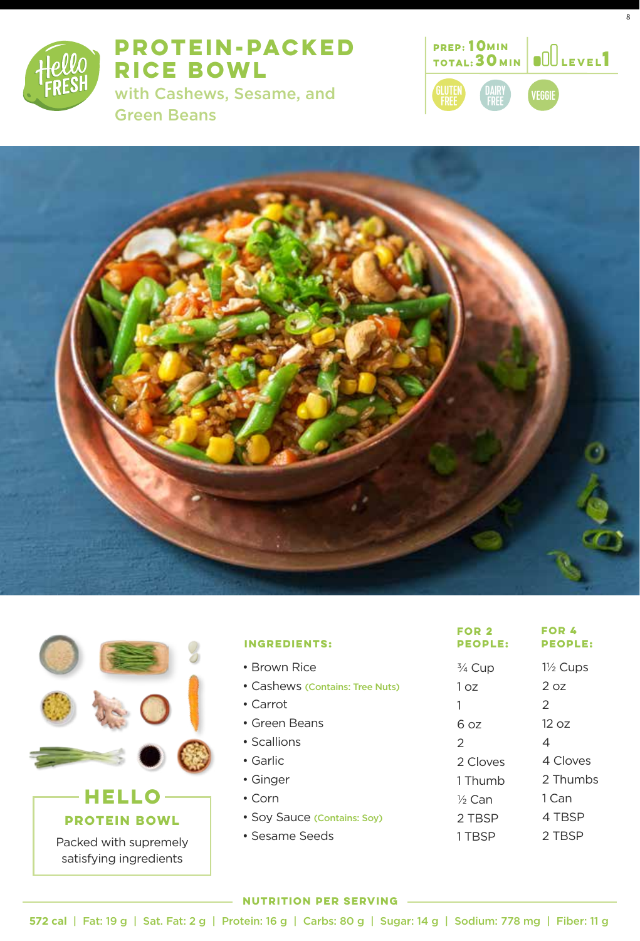

**PROTEIN-PACKED RICE BOWL** 

with Cashews, Sesame, and Green Beans



8





| <b>INGREDIENTS:</b>             | FOR 2<br><b>PEOPLE:</b> | FOR 4<br><b>PEOPLE:</b> |
|---------------------------------|-------------------------|-------------------------|
| • Brown Rice                    | $\frac{3}{4}$ Cup       | $1\frac{1}{2}$ Cups     |
| • Cashews (Contains: Tree Nuts) | 1 oz                    | 2 oz                    |
| • Carrot                        | 1                       | 2                       |
| • Green Beans                   | 6 oz                    | 12 oz                   |
| • Scallions                     | $\mathcal{P}$           | 4                       |
| $\bullet$ Garlic                | 2 Cloves                | 4 Cloves                |
| • Ginger                        | 1 Thumb                 | 2 Thumbs                |
| $\cdot$ Corn                    | $\frac{1}{2}$ Can       | 1 Can                   |
| • Soy Sauce (Contains: Soy)     | 2 TBSP                  | 4 TBSP                  |
| • Sesame Seeds                  | 1 TBSP                  | 2 TBSP                  |
|                                 |                         |                         |

#### **NUTRITION PER SERVING**